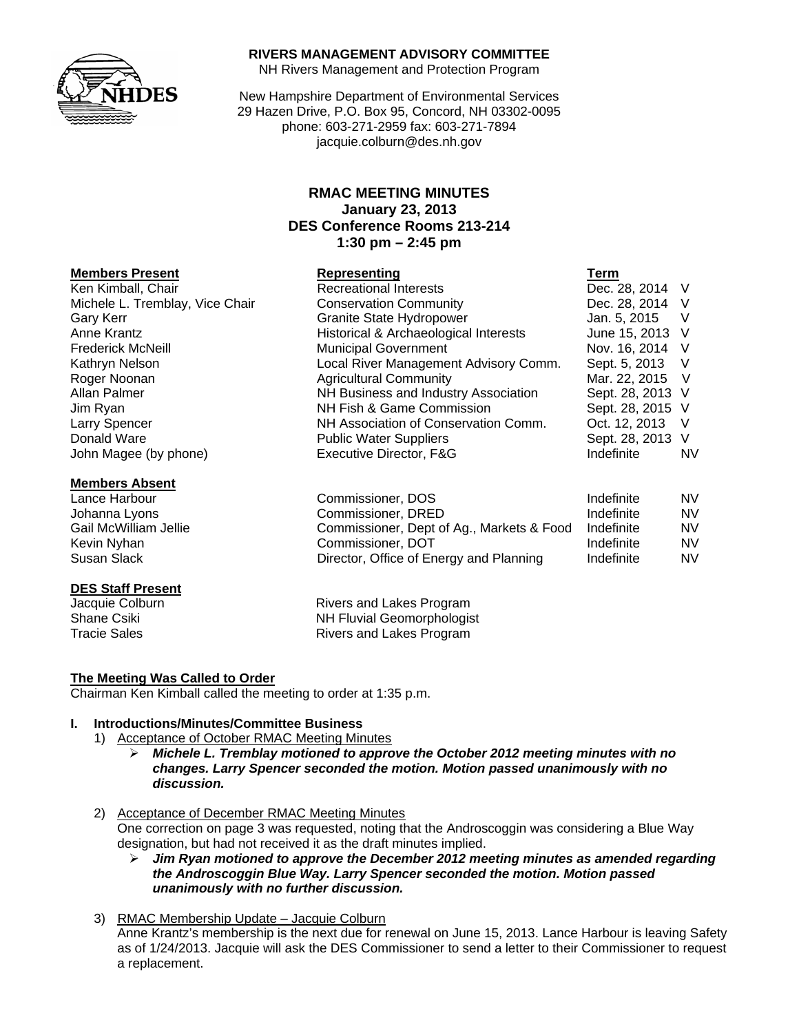

## **RIVERS MANAGEMENT ADVISORY COMMITTEE**

NH Rivers Management and Protection Program

New Hampshire Department of Environmental Services 29 Hazen Drive, P.O. Box 95, Concord, NH 03302-0095 phone: 603-271-2959 fax: 603-271-7894 jacquie.colburn@des.nh.gov

# **RMAC MEETING MINUTES January 23, 2013 DES Conference Rooms 213-214 1:30 pm – 2:45 pm**

## **Members Present Construction Construction Representing Construction Construction Term**

Ken Kimball, Chair Recreational Interests Dec. 28, 2014 V Michele L. Tremblay, Vice Chair Conservation Community Conservation Community Dec. 28, 2014 V Gary Kerr **Granite State Hydropower** Jan. 5, 2015 V Anne Krantz **Historical & Archaeological Interests** June 15, 2013 V Frederick McNeill **Municipal Government** Nov. 16, 2014 V Kathryn Nelson **Local River Management Advisory Comm.** Sept. 5, 2013 V Roger Noonan **Agricultural Community** Mar. 22, 2015 V Allan Palmer **NH Business and Industry Association** Sept. 28, 2013 V Jim Ryan NH Fish & Game Commission Sept. 28, 2015 V Larry Spencer **NH Association of Conservation Comm.** Oct. 12, 2013 V

## **Members Absent**

Susan Slack **Director, Office of Energy and Planning** Indefinite NV

# **DES Staff Present**

Donald Ware **Network Public Water Suppliers** Sept. 28, 2013 V John Magee (by phone) Executive Director, F&G Indefinite NV Lance Harbour Commissioner, DOS Indefinite NV Johanna Lyons **Commissioner, DRED** Indefinite MV Gail McWilliam Jellie Commissioner, Dept of Ag., Markets & Food Indefinite NV Kevin Nyhan **Natural Commissioner, DOT** The Indefinite AV NV

Jacquie Colburn **Rivers** and Lakes Program Shane Csiki **NH Fluvial Geomorphologist**<br>Tracie Sales **NH Fluvial Geomorphologist** Rivers and Lakes Program

# **The Meeting Was Called to Order**

Chairman Ken Kimball called the meeting to order at 1:35 p.m.

# **I. Introductions/Minutes/Committee Business**

- 1) Acceptance of October RMAC Meeting Minutes
	- ¾ *Michele L. Tremblay motioned to approve the October 2012 meeting minutes with no changes. Larry Spencer seconded the motion. Motion passed unanimously with no discussion.*
- 2) Acceptance of December RMAC Meeting Minutes One correction on page 3 was requested, noting that the Androscoggin was considering a Blue Way designation, but had not received it as the draft minutes implied.
	- ¾ *Jim Ryan motioned to approve the December 2012 meeting minutes as amended regarding the Androscoggin Blue Way. Larry Spencer seconded the motion. Motion passed unanimously with no further discussion.*
- 3) RMAC Membership Update Jacquie Colburn Anne Krantz's membership is the next due for renewal on June 15, 2013. Lance Harbour is leaving Safety as of 1/24/2013. Jacquie will ask the DES Commissioner to send a letter to their Commissioner to request a replacement.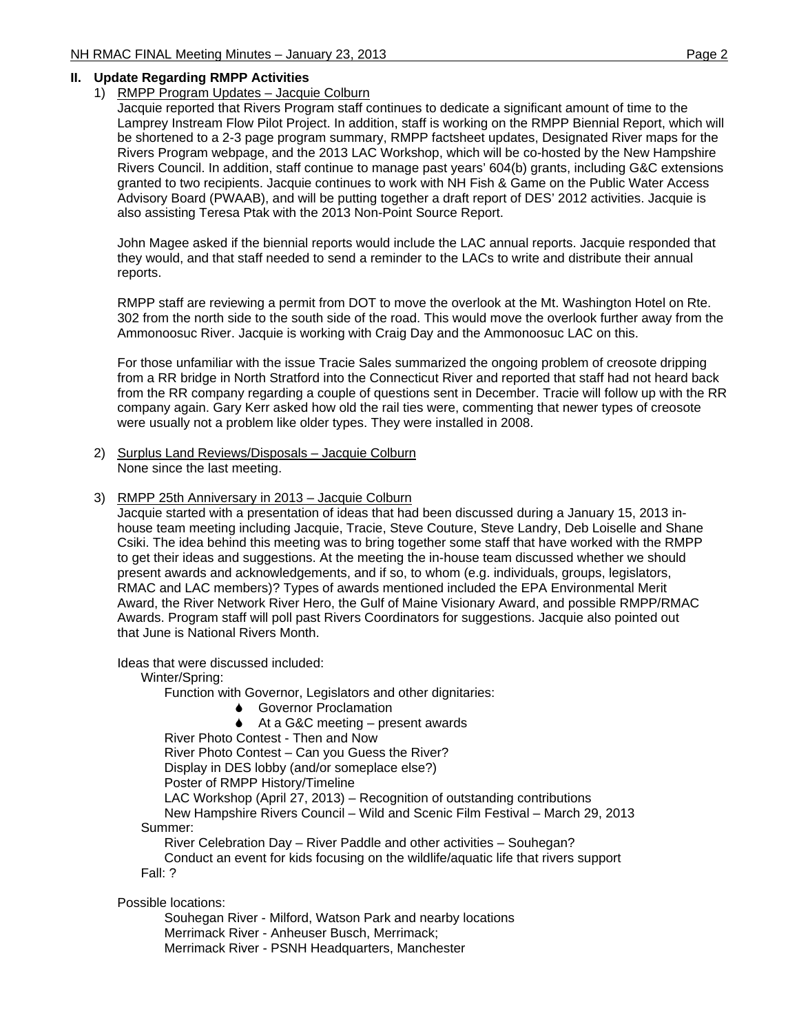## **II. Update Regarding RMPP Activities**

## 1) RMPP Program Updates – Jacquie Colburn

Jacquie reported that Rivers Program staff continues to dedicate a significant amount of time to the Lamprey Instream Flow Pilot Project. In addition, staff is working on the RMPP Biennial Report, which will be shortened to a 2-3 page program summary, RMPP factsheet updates, Designated River maps for the Rivers Program webpage, and the 2013 LAC Workshop, which will be co-hosted by the New Hampshire Rivers Council. In addition, staff continue to manage past years' 604(b) grants, including G&C extensions granted to two recipients. Jacquie continues to work with NH Fish & Game on the Public Water Access Advisory Board (PWAAB), and will be putting together a draft report of DES' 2012 activities. Jacquie is also assisting Teresa Ptak with the 2013 Non-Point Source Report.

John Magee asked if the biennial reports would include the LAC annual reports. Jacquie responded that they would, and that staff needed to send a reminder to the LACs to write and distribute their annual reports.

RMPP staff are reviewing a permit from DOT to move the overlook at the Mt. Washington Hotel on Rte. 302 from the north side to the south side of the road. This would move the overlook further away from the Ammonoosuc River. Jacquie is working with Craig Day and the Ammonoosuc LAC on this.

For those unfamiliar with the issue Tracie Sales summarized the ongoing problem of creosote dripping from a RR bridge in North Stratford into the Connecticut River and reported that staff had not heard back from the RR company regarding a couple of questions sent in December. Tracie will follow up with the RR company again. Gary Kerr asked how old the rail ties were, commenting that newer types of creosote were usually not a problem like older types. They were installed in 2008.

- 2) Surplus Land Reviews/Disposals Jacquie Colburn None since the last meeting.
- 3) RMPP 25th Anniversary in 2013 Jacquie Colburn

Jacquie started with a presentation of ideas that had been discussed during a January 15, 2013 inhouse team meeting including Jacquie, Tracie, Steve Couture, Steve Landry, Deb Loiselle and Shane Csiki. The idea behind this meeting was to bring together some staff that have worked with the RMPP to get their ideas and suggestions. At the meeting the in-house team discussed whether we should present awards and acknowledgements, and if so, to whom (e.g. individuals, groups, legislators, RMAC and LAC members)? Types of awards mentioned included the EPA Environmental Merit Award, the River Network River Hero, the Gulf of Maine Visionary Award, and possible RMPP/RMAC Awards. Program staff will poll past Rivers Coordinators for suggestions. Jacquie also pointed out that June is National Rivers Month.

Ideas that were discussed included:

Winter/Spring:

Function with Governor, Legislators and other dignitaries:

- **↓** Governor Proclamation
- 6 At a G&C meeting present awards

River Photo Contest - Then and Now

River Photo Contest – Can you Guess the River?

Display in DES lobby (and/or someplace else?)

Poster of RMPP History/Timeline

LAC Workshop (April 27, 2013) – Recognition of outstanding contributions

 New Hampshire Rivers Council – Wild and Scenic Film Festival – March 29, 2013 Summer:

River Celebration Day – River Paddle and other activities – Souhegan?

 Conduct an event for kids focusing on the wildlife/aquatic life that rivers support Fall: ?

Possible locations:

 Souhegan River - Milford, Watson Park and nearby locations Merrimack River - Anheuser Busch, Merrimack; Merrimack River - PSNH Headquarters, Manchester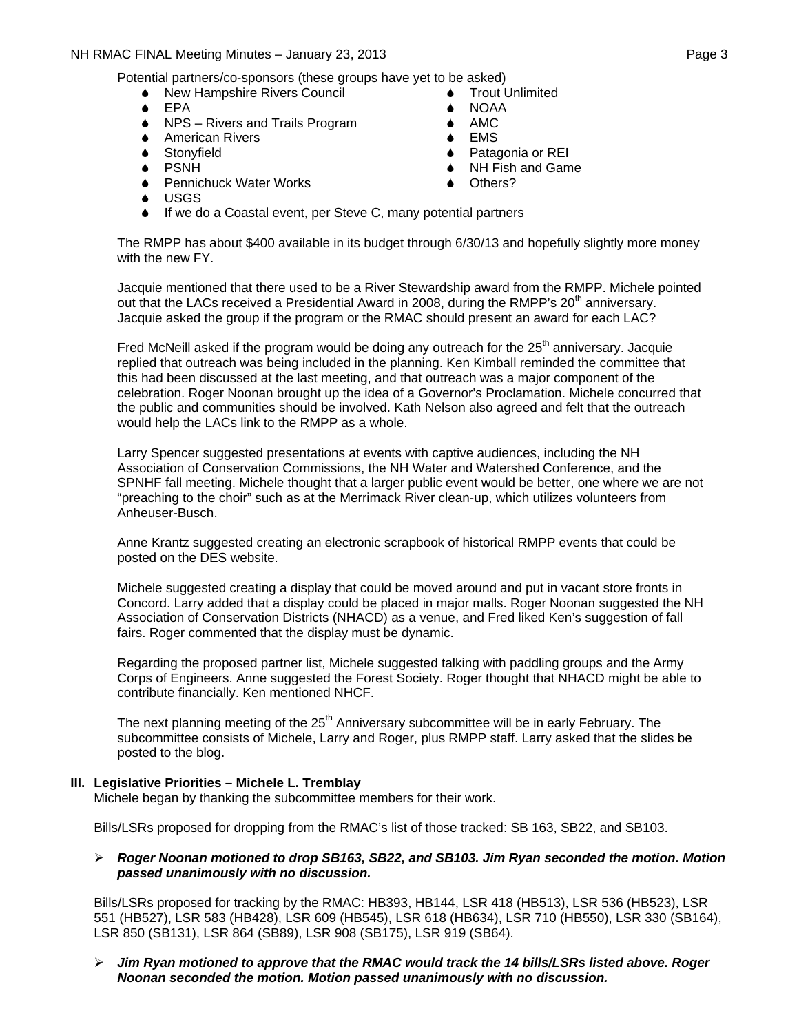Potential partners/co-sponsors (these groups have yet to be asked)

- **◆ New Hampshire Rivers Council**
- ◆ EPA
- **◆** NPS Rivers and Trails Program
- **●** American Rivers
- **●** Stonyfield
- 6 PSNH
- **↓** Pennichuck Water Works
- **Trout Unlimited** NOAA
- $\triangle$  AMC
- **EMS**
- 6 Patagonia or REI
- **◆** NH Fish and Game
- Others?

- 6 USGS
- 6 If we do a Coastal event, per Steve C, many potential partners

The RMPP has about \$400 available in its budget through 6/30/13 and hopefully slightly more money with the new FY.

Jacquie mentioned that there used to be a River Stewardship award from the RMPP. Michele pointed out that the LACs received a Presidential Award in 2008, during the RMPP's  $20<sup>th</sup>$  anniversary. Jacquie asked the group if the program or the RMAC should present an award for each LAC?

Fred McNeill asked if the program would be doing any outreach for the  $25<sup>th</sup>$  anniversary. Jacquie replied that outreach was being included in the planning. Ken Kimball reminded the committee that this had been discussed at the last meeting, and that outreach was a major component of the celebration. Roger Noonan brought up the idea of a Governor's Proclamation. Michele concurred that the public and communities should be involved. Kath Nelson also agreed and felt that the outreach would help the LACs link to the RMPP as a whole.

Larry Spencer suggested presentations at events with captive audiences, including the NH Association of Conservation Commissions, the NH Water and Watershed Conference, and the SPNHF fall meeting. Michele thought that a larger public event would be better, one where we are not "preaching to the choir" such as at the Merrimack River clean-up, which utilizes volunteers from Anheuser-Busch.

Anne Krantz suggested creating an electronic scrapbook of historical RMPP events that could be posted on the DES website.

Michele suggested creating a display that could be moved around and put in vacant store fronts in Concord. Larry added that a display could be placed in major malls. Roger Noonan suggested the NH Association of Conservation Districts (NHACD) as a venue, and Fred liked Ken's suggestion of fall fairs. Roger commented that the display must be dynamic.

Regarding the proposed partner list, Michele suggested talking with paddling groups and the Army Corps of Engineers. Anne suggested the Forest Society. Roger thought that NHACD might be able to contribute financially. Ken mentioned NHCF.

The next planning meeting of the  $25<sup>th</sup>$  Anniversary subcommittee will be in early February. The subcommittee consists of Michele, Larry and Roger, plus RMPP staff. Larry asked that the slides be posted to the blog.

#### **III. Legislative Priorities – Michele L. Tremblay**

Michele began by thanking the subcommittee members for their work.

Bills/LSRs proposed for dropping from the RMAC's list of those tracked: SB 163, SB22, and SB103.

#### ¾ *Roger Noonan motioned to drop SB163, SB22, and SB103. Jim Ryan seconded the motion. Motion passed unanimously with no discussion.*

Bills/LSRs proposed for tracking by the RMAC: HB393, HB144, LSR 418 (HB513), LSR 536 (HB523), LSR 551 (HB527), LSR 583 (HB428), LSR 609 (HB545), LSR 618 (HB634), LSR 710 (HB550), LSR 330 (SB164), LSR 850 (SB131), LSR 864 (SB89), LSR 908 (SB175), LSR 919 (SB64).

#### ¾ *Jim Ryan motioned to approve that the RMAC would track the 14 bills/LSRs listed above. Roger Noonan seconded the motion. Motion passed unanimously with no discussion.*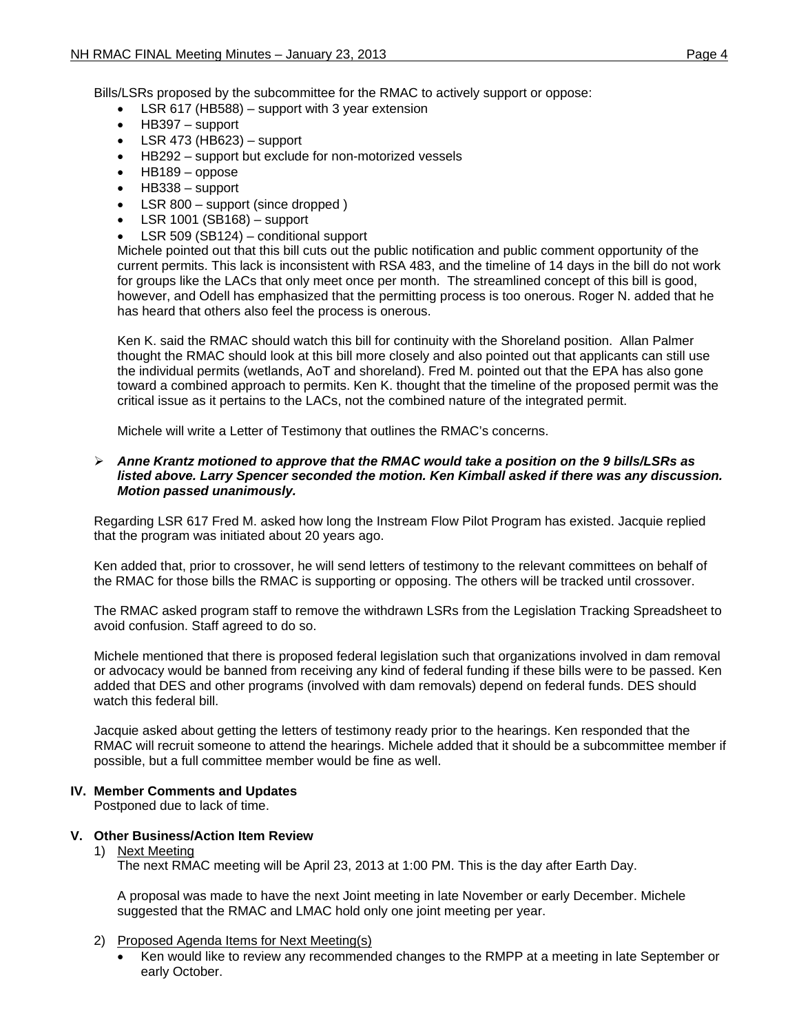Bills/LSRs proposed by the subcommittee for the RMAC to actively support or oppose:

- LSR 617 (HB588) support with 3 year extension
- HB397 support
- $\bullet$  LSR 473 (HB623) support
- HB292 support but exclude for non-motorized vessels
- HB189 oppose
- HB338 support
- LSR 800 support (since dropped)
- $\bullet$  LSR 1001 (SB168) support
- LSR 509 (SB124) conditional support

Michele pointed out that this bill cuts out the public notification and public comment opportunity of the current permits. This lack is inconsistent with RSA 483, and the timeline of 14 days in the bill do not work for groups like the LACs that only meet once per month. The streamlined concept of this bill is good, however, and Odell has emphasized that the permitting process is too onerous. Roger N. added that he has heard that others also feel the process is onerous.

Ken K. said the RMAC should watch this bill for continuity with the Shoreland position. Allan Palmer thought the RMAC should look at this bill more closely and also pointed out that applicants can still use the individual permits (wetlands, AoT and shoreland). Fred M. pointed out that the EPA has also gone toward a combined approach to permits. Ken K. thought that the timeline of the proposed permit was the critical issue as it pertains to the LACs, not the combined nature of the integrated permit.

Michele will write a Letter of Testimony that outlines the RMAC's concerns.

#### ¾ *Anne Krantz motioned to approve that the RMAC would take a position on the 9 bills/LSRs as listed above. Larry Spencer seconded the motion. Ken Kimball asked if there was any discussion. Motion passed unanimously.*

Regarding LSR 617 Fred M. asked how long the Instream Flow Pilot Program has existed. Jacquie replied that the program was initiated about 20 years ago.

Ken added that, prior to crossover, he will send letters of testimony to the relevant committees on behalf of the RMAC for those bills the RMAC is supporting or opposing. The others will be tracked until crossover.

The RMAC asked program staff to remove the withdrawn LSRs from the Legislation Tracking Spreadsheet to avoid confusion. Staff agreed to do so.

Michele mentioned that there is proposed federal legislation such that organizations involved in dam removal or advocacy would be banned from receiving any kind of federal funding if these bills were to be passed. Ken added that DES and other programs (involved with dam removals) depend on federal funds. DES should watch this federal bill.

Jacquie asked about getting the letters of testimony ready prior to the hearings. Ken responded that the RMAC will recruit someone to attend the hearings. Michele added that it should be a subcommittee member if possible, but a full committee member would be fine as well.

### **IV. Member Comments and Updates**

Postponed due to lack of time.

### **V. Other Business/Action Item Review**

1) Next Meeting

The next RMAC meeting will be April 23, 2013 at 1:00 PM. This is the day after Earth Day.

A proposal was made to have the next Joint meeting in late November or early December. Michele suggested that the RMAC and LMAC hold only one joint meeting per year.

- 2) Proposed Agenda Items for Next Meeting(s)
	- Ken would like to review any recommended changes to the RMPP at a meeting in late September or early October.